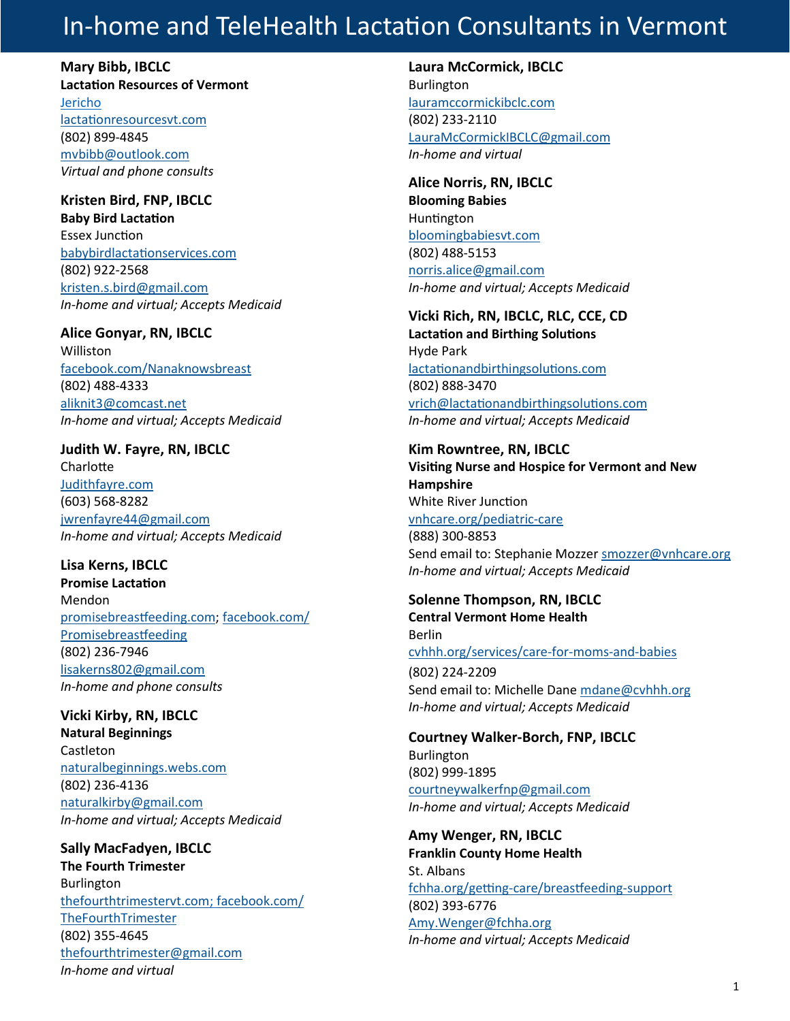## In-home and TeleHealth Lactation Consultants in Vermont

**Mary Bibb, IBCLC Lactation Resources of Vermont**  Jericho [lactationresourcesvt.com](http://lactationresourcesvt.com/)  (802) 899-4845 [mvbibb@outlook.com](mailto:mvbibb@outlook.com)  *Virtual and phone consults*

### **Kristen Bird, FNP, IBCLC**

**Baby Bird Lactation**  Essex Junction [babybirdlactationservices.com](http://www.babybirdlactationservices.com) (802) 922-2568 [kristen.s.bird@gmail.com](mailto:kristen.s.bird@gmail.com) *In-home and virtual; Accepts Medicaid*

#### **Alice Gonyar, RN, IBCLC**

**Williston** [facebook.com/Nanaknowsbreast](https://www.facebook.com/Nanaknowsbreast)  (802) 488-4333 [aliknit3@comcast.net](mailto:aliknit3@comcast.net) *In-home and virtual; Accepts Medicaid*

#### **Judith W. Fayre, RN, IBCLC Charlotte** [Judithfayre.com](https://www.judithfayre.com/) (603) 568-8282 [jwrenfayre44@gmail.com](mailto:jwrenfayre44@gmail.com)

*In-home and virtual; Accepts Medicaid*

#### **Lisa Kerns, IBCLC**

**Promise Lactation** Mendon [promisebreastfeeding.com;](https://promisebreastfeeding.com) [facebook.com/](https://www.facebook.com/Promisebreastfeeding/) [Promisebreastfeeding](https://www.facebook.com/Promisebreastfeeding/) (802) 236-7946 [lisakerns802@gmail.com](mailto:chivas@vermontel.net) *In-home and phone consults*

#### **Vicki Kirby, RN, IBCLC Natural Beginnings**

Castleton [naturalbeginnings.webs.com](https://naturalbeginnings.webs.com/) (802) 236-4136 [naturalkirby@gmail.com](mailto:naturalkirby@gmail.com) *In-home and virtual; Accepts Medicaid*

**Sally MacFadyen, IBCLC The Fourth Trimester** Burlington [thefourthtrimestervt.com;](https://www.thefourthtrimestervt.com/) [facebook.com/](https://www.facebook.com/TheFourthTrimester) [TheFourthTrimester](https://www.facebook.com/TheFourthTrimester) (802) 355-4645 [thefourthtrimester@gmail.com](mailto:thefourthtrimester@gmail.com) *In-home and virtual*

#### **Laura McCormick, IBCLC**

Burlington [lauramccormickibclc.com](https://www.lauramccormickibclc.com/) (802) 233-2110 [LauraMcCormickIBCLC@gmail.com](mailto:LauraMcCormickIBCLC@gmail.com) *In-home and virtual*

**Alice Norris, RN, IBCLC Blooming Babies** Huntington [bloomingbabiesvt.com](http://www.bloomingbabiesvt.com/) (802) 488-5153 [norris.alice@gmail.com](mailto:norris.alice@gmail.com) *In-home and virtual; Accepts Medicaid*

### **Vicki Rich, RN, IBCLC, RLC, CCE, CD**

**Lactation and Birthing Solutions** Hyde Park [lactationandbirthingsolutions.com](http://lactationandbirthingsolutions.com/) (802) 888-3470 [vrich@lactationandbirthingsolutions.com](mailto:vrich@lactationandbirthingsolutions.com) *In-home and virtual; Accepts Medicaid*

#### **Kim Rowntree, RN, IBCLC**

**Visiting Nurse and Hospice for Vermont and New Hampshire** White River Junction [vnhcare.org/pediatric](https://www.vnhcare.org/pediatric-care/)-care (888) 300-8853 Send email to: Stephanie Mozzer [smozzer@vnhcare.org](mailto:smozzer@vnhcare.org) *In-home and virtual; Accepts Medicaid*

#### **Solenne Thompson, RN, IBCLC**

**Central Vermont Home Health** Berlin [cvhhh.org/services/care](https://www.cvhhh.org/services/care-for-moms-and-babies/)-for-moms-and-babies (802) 224-2209 Send email to: Michelle Dane [mdane@cvhhh.org](mailto:mdane@cvhhh.org) *In-home and virtual; Accepts Medicaid*

#### **Courtney Walker-Borch, FNP, IBCLC** Burlington (802) 999-1895 [courtneywalkerfnp@gmail.com](mailto:courtneywalkerfnp@gmail.com) *In-home and virtual; Accepts Medicaid*

**Amy Wenger, RN, IBCLC Franklin County Home Health**  St. Albans fchha.org/getting-[care/breastfeeding](https://www.fchha.org/getting-care/breastfeeding-support/)-support (802) 393-6776 [Amy.Wenger@fchha.org](mailto:Amy.Wenger@fchha.org) *In-home and virtual; Accepts Medicaid*